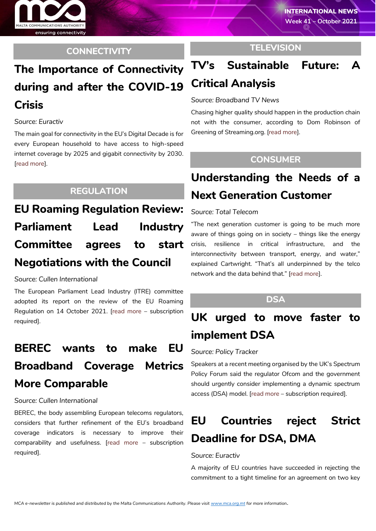

### **CONNECTIVITY**

## **The Importance of Connectivity during and after the COVID-19 Crisis**

#### *Source: Euractiv*

The main goal for connectivity in the EU's Digital Decade is for every European household to have access to high-speed internet coverage by 2025 and gigabit connectivity by 2030. [\[read more\]](https://www.euractiv.com/section/digital/video/the-importance-of-connectivity-during-and-after-the-covid-19-crisis/).

### **REGULATION**

**EU Roaming Regulation Review: Parliament Lead Industry Committee agrees to start Negotiations with the Council**

*Source: Cullen International*

The European Parliament Lead Industry (ITRE) committee adopted its report on the review of the EU Roaming Regulation on 14 October 2021. [\[read more](https://www.cullen-international.com/client/site/documents/FLTEEP20210056) – subscription required].

## **BEREC wants to make EU Broadband Coverage Metrics More Comparable**

#### *Source: Cullen International*

BEREC, the body assembling European telecoms regulators, considers that further refinement of the EU's broadband coverage indicators is necessary to improve their comparability and usefulness. [\[read more](https://www.cullen-international.com/client/site/documents/FLTEEP20210055) – subscription required].

### **TELEVISION**

# **TV's Sustainable Future: A Critical Analysis**

*Source: Broadband TV News*

Chasing higher quality should happen in the production chain not with the consumer, according to Dom Robinson of Greening of Streaming.org. [\[read more\]](https://www.broadbandtvnews.com/2021/10/15/tvs-sustainable-future-a-critical-analysis/).

### **CONSUMER**

## **Understanding the Needs of a Next Generation Customer**

#### *Source: Total Telecom*

"The next generation customer is going to be much more aware of things going on in society – things like the energy crisis, resilience in critical infrastructure, and the interconnectivity between transport, energy, and water," explained Cartwright. "That's all underpinned by the telco network and the data behind that." [\[read more\]](https://www.totaltele.com/511266/Understanding-the-needs-of-a-next-generation-customer).

### **DSA**

# **UK urged to move faster to implement DSA**

#### *Source: Policy Tracker*

Speakers at a recent meeting organised by the UK's Spectrum Policy Forum said the regulator Ofcom and the government should urgently consider implementing a dynamic spectrum access (DSA) model. [\[read more](https://www.policytracker.com/uk-urged-to-do-more-to-implement-dsa/) – subscription required].

## **EU Countries reject Strict Deadline for DSA, DMA**

#### *Source: Euractiv*

A majority of EU countries have succeeded in rejecting the commitment to a tight timeline for an agreement on two key